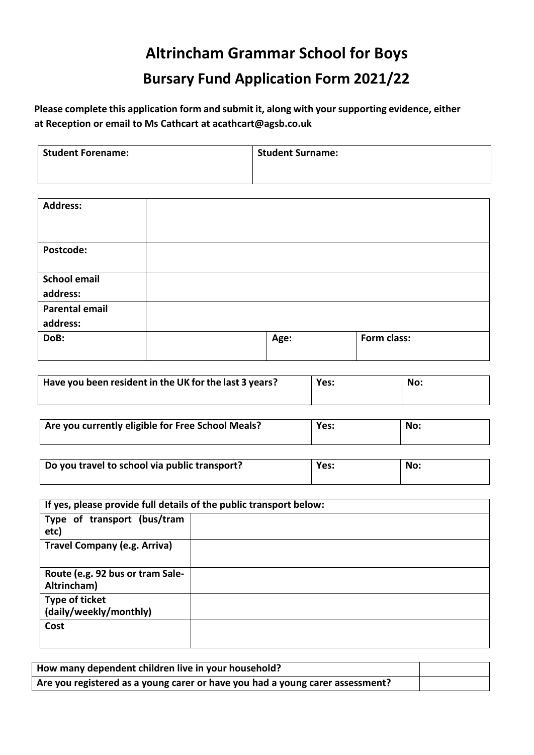## **Altrincham Grammar School for Boys Bursary Fund Application Form 2021/22**

**Please complete this application form and submit it, along with your supporting evidence, either at Reception or email to Ms Cathcart at acathcart@agsb.co.uk**

| <b>Student Forename:</b> | <b>Student Surname:</b> |
|--------------------------|-------------------------|
|                          |                         |

| <b>Address:</b>       |      |             |
|-----------------------|------|-------------|
| Postcode:             |      |             |
| <b>School email</b>   |      |             |
| address:              |      |             |
| <b>Parental email</b> |      |             |
| address:              |      |             |
| DoB:                  | Age: | Form class: |
|                       |      |             |

| Have you been resident in the UK for the last 3 years? | Yes: | No: |
|--------------------------------------------------------|------|-----|
|                                                        |      |     |

| Are you currently eligible for Free School Meals? | Yes: | <b>No</b> |
|---------------------------------------------------|------|-----------|
|                                                   |      |           |

| Do you travel to school via public transport? | Yes: | No: |
|-----------------------------------------------|------|-----|
|                                               |      |     |

| If yes, please provide full details of the public transport below: |  |  |  |
|--------------------------------------------------------------------|--|--|--|
| Type of transport (bus/tram<br>etc)                                |  |  |  |
| <b>Travel Company (e.g. Arriva)</b>                                |  |  |  |
| Route (e.g. 92 bus or tram Sale-<br>Altrincham)                    |  |  |  |
| Type of ticket<br>(daily/weekly/monthly)                           |  |  |  |
| Cost                                                               |  |  |  |

| How many dependent children live in your household?                           |  |
|-------------------------------------------------------------------------------|--|
| Are you registered as a young carer or have you had a young carer assessment? |  |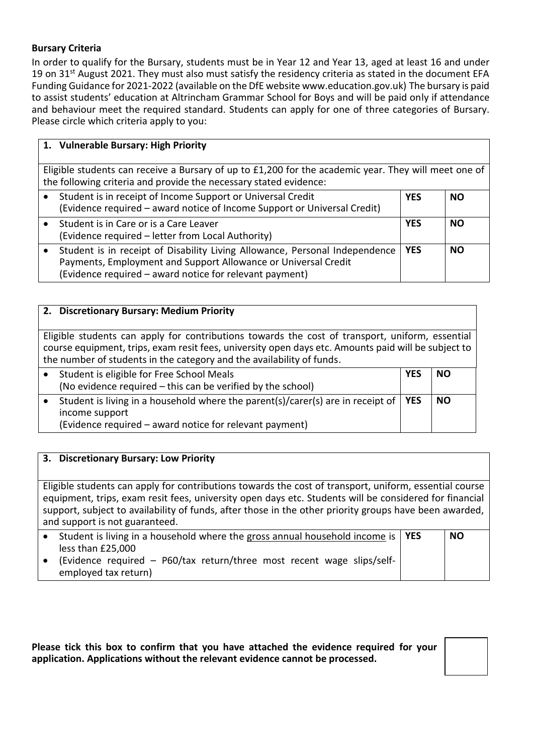## **Bursary Criteria**

In order to qualify for the Bursary, students must be in Year 12 and Year 13, aged at least 16 and under 19 on 31<sup>st</sup> August 2021. They must also must satisfy the residency criteria as stated in the document EFA Funding Guidance for 2021-2022 (available on the DfE website www.education.gov.uk) The bursary is paid to assist students' education at Altrincham Grammar School for Boys and will be paid only if attendance and behaviour meet the required standard. Students can apply for one of three categories of Bursary. Please circle which criteria apply to you:

| 1. Vulnerable Bursary: High Priority                                                                                                                                                                     |            |           |  |
|----------------------------------------------------------------------------------------------------------------------------------------------------------------------------------------------------------|------------|-----------|--|
| Eligible students can receive a Bursary of up to £1,200 for the academic year. They will meet one of<br>the following criteria and provide the necessary stated evidence:                                |            |           |  |
| Student is in receipt of Income Support or Universal Credit<br>(Evidence required – award notice of Income Support or Universal Credit)                                                                  | <b>YES</b> | <b>NO</b> |  |
| Student is in Care or is a Care Leaver<br>(Evidence required - letter from Local Authority)                                                                                                              | <b>YES</b> | <b>NO</b> |  |
| Student is in receipt of Disability Living Allowance, Personal Independence<br>Payments, Employment and Support Allowance or Universal Credit<br>(Evidence required - award notice for relevant payment) | <b>YFS</b> | <b>NO</b> |  |

| 2. Discretionary Bursary: Medium Priority                                                                                                                                                                                                                                       |            |           |  |
|---------------------------------------------------------------------------------------------------------------------------------------------------------------------------------------------------------------------------------------------------------------------------------|------------|-----------|--|
|                                                                                                                                                                                                                                                                                 |            |           |  |
| Eligible students can apply for contributions towards the cost of transport, uniform, essential<br>course equipment, trips, exam resit fees, university open days etc. Amounts paid will be subject to<br>the number of students in the category and the availability of funds. |            |           |  |
| Student is eligible for Free School Meals                                                                                                                                                                                                                                       | <b>YES</b> | <b>NO</b> |  |
| (No evidence required – this can be verified by the school)                                                                                                                                                                                                                     |            |           |  |
| Student is living in a household where the parent(s)/carer(s) are in receipt of<br>$\bullet$<br>income support                                                                                                                                                                  | <b>YES</b> | <b>NO</b> |  |
| (Evidence required – award notice for relevant payment)                                                                                                                                                                                                                         |            |           |  |

## **3. Discretionary Bursary: Low Priority**

Eligible students can apply for contributions towards the cost of transport, uniform, essential course equipment, trips, exam resit fees, university open days etc. Students will be considered for financial support, subject to availability of funds, after those in the other priority groups have been awarded, and support is not guaranteed.

| Student is living in a household where the gross annual household income is   YES | <b>NO</b> |
|-----------------------------------------------------------------------------------|-----------|
| less than £25,000                                                                 |           |
| (Evidence required - P60/tax return/three most recent wage slips/self-            |           |
| employed tax return)                                                              |           |

**Please tick this box to confirm that you have attached the evidence required for your application. Applications without the relevant evidence cannot be processed.**